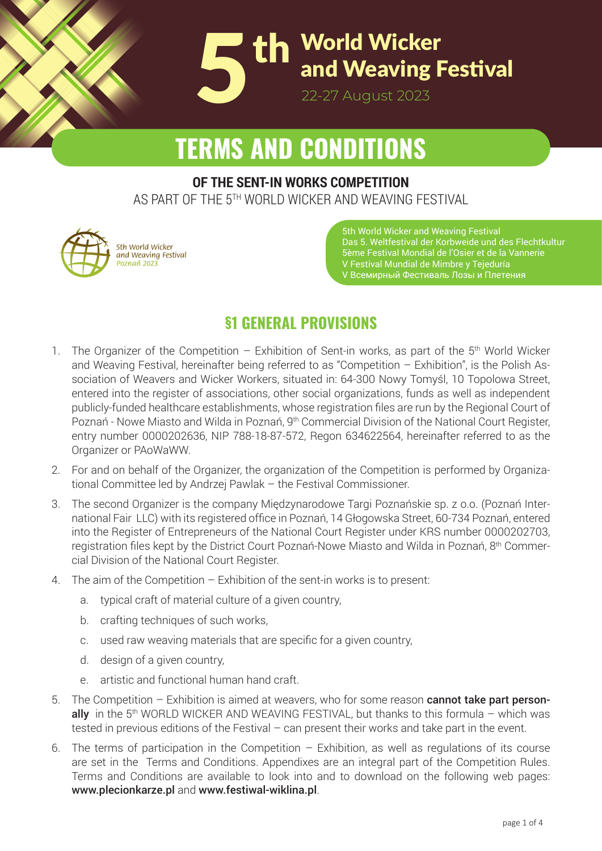

# **TERMS AND CONDITIONS**

#### **OF THE SENT-IN WORKS COMPETITION**

AS PART OF THE 5TH WORLD WICKER AND WEAVING FESTIVAL



5th World Wicker and Weaving Festival Das 5. Weltfestival der Korbweide und des Flechtkultur 5ème Festival Mondial de l'Osier et de la Vannerie V Festival Mundial de Mimbre y Tejeduría V Всемирный Фестиваль Лозы и Плетения

### **§1 GENERAL PROVISIONS**

- 1. The Organizer of the Competition Exhibition of Sent-in works, as part of the  $5<sup>th</sup>$  World Wicker and Weaving Festival, hereinafter being referred to as "Competition – Exhibition", is the Polish Association of Weavers and Wicker Workers, situated in: 64-300 Nowy Tomyśl, 10 Topolowa Street, entered into the register of associations, other social organizations, funds as well as independent publicly-funded healthcare establishments, whose registration files are run by the Regional Court of Poznań - Nowe Miasto and Wilda in Poznań, 9<sup>th</sup> Commercial Division of the National Court Register, entry number 0000202636, NIP 788-18-87-572, Regon 634622564, hereinafter referred to as the Organizer or PAoWaWW.
- 2. For and on behalf of the Organizer, the organization of the Competition is performed by Organizational Committee led by Andrzej Pawlak – the Festival Commissioner.
- 3. The second Organizer is the company Międzynarodowe Targi Poznańskie sp. z o.o. (Poznań International Fair LLC) with its registered office in Poznań, 14 Głogowska Street, 60-734 Poznań, entered into the Register of Entrepreneurs of the National Court Register under KRS number 0000202703, registration files kept by the District Court Poznań-Nowe Miasto and Wilda in Poznań, 8<sup>th</sup> Commercial Division of the National Court Register.
- 4. The aim of the Competition Exhibition of the sent-in works is to present:
	- a. typical craft of material culture of a given country,
	- b. crafting techniques of such works,
	- c. used raw weaving materials that are specific for a given country,
	- d. design of a given country,
	- e. artistic and functional human hand craft.
- 5. The Competition Exhibition is aimed at weavers, who for some reason cannot take part personally in the 5<sup>th</sup> WORLD WICKER AND WEAVING FESTIVAL, but thanks to this formula – which was tested in previous editions of the Festival – can present their works and take part in the event.
- 6. The terms of participation in the Competition Exhibition, as well as regulations of its course are set in the Terms and Conditions. Appendixes are an integral part of the Competition Rules. 64-300 Nowy Tomyśl, ul. Topolowa 10  $ext{O}$  and Conditions are available to loc www.plecionkarze.pl and www.festiwal-wiklina.pl. 60-734 Poznań, ul. Głogowska 14 Terms and Conditions are available to look into and to download on the following web pages: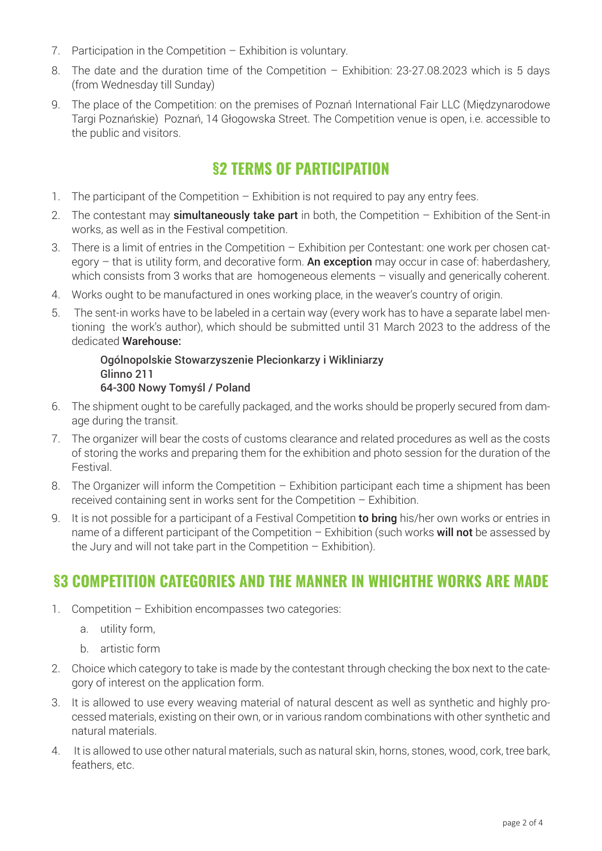- 7. Participation in the Competition Exhibition is voluntary.
- 8. The date and the duration time of the Competition Exhibition: 23-27.08.2023 which is 5 days (from Wednesday till Sunday)
- 9. The place of the Competition: on the premises of Poznań International Fair LLC (Międzynarodowe Targi Poznańskie) Poznań, 14 Głogowska Street. The Competition venue is open, i.e. accessible to the public and visitors.

#### **§2 TERMS OF PARTICIPATION**

- 1. The participant of the Competition Exhibition is not required to pay any entry fees.
- 2. The contestant may simultaneously take part in both, the Competition  $-$  Exhibition of the Sent-in works, as well as in the Festival competition.
- 3. There is a limit of entries in the Competition Exhibition per Contestant: one work per chosen category  $-$  that is utility form, and decorative form. An exception may occur in case of: haberdashery, which consists from 3 works that are homogeneous elements – visually and generically coherent.
- 4. Works ought to be manufactured in ones working place, in the weaver's country of origin.
- 5. The sent-in works have to be labeled in a certain way (every work has to have a separate label mentioning the work's author), which should be submitted until 31 March 2023 to the address of the dedicated Warehouse:

#### Ogólnopolskie Stowarzyszenie Plecionkarzy i Wikliniarzy Glinno 211 64-300 Nowy Tomyśl / Poland

- 6. The shipment ought to be carefully packaged, and the works should be properly secured from damage during the transit.
- 7. The organizer will bear the costs of customs clearance and related procedures as well as the costs of storing the works and preparing them for the exhibition and photo session for the duration of the Festival.
- 8. The Organizer will inform the Competition Exhibition participant each time a shipment has been received containing sent in works sent for the Competition – Exhibition.
- 9. It is not possible for a participant of a Festival Competition **to bring** his/her own works or entries in name of a different participant of the Competition – Exhibition (such works will not be assessed by the Jury and will not take part in the Competition – Exhibition).

#### **§3 COMPETITION CATEGORIES AND THE MANNER IN WHICHTHE WORKS ARE MADE**

- 1. Competition Exhibition encompasses two categories:
	- a. utility form,
	- b. artistic form
- 2. Choice which category to take is made by the contestant through checking the box next to the category of interest on the application form.
- 3. It is allowed to use every weaving material of natural descent as well as synthetic and highly processed materials, existing on their own, or in various random combinations with other synthetic and natural materials.
- 4. It is allowed to use other natural materials, such as natural skin, horns, stones, wood, cork, tree bark, feathers, etc.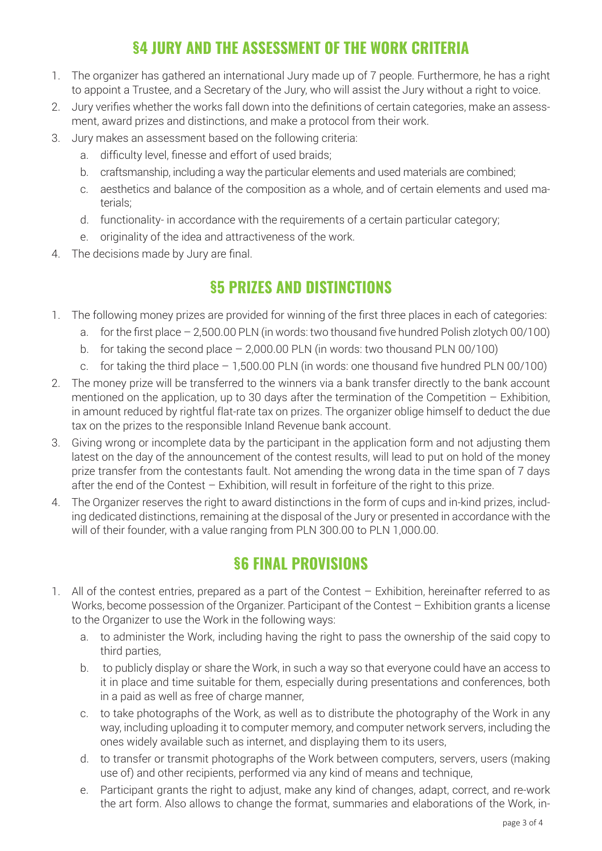## **§4 JURY AND THE ASSESSMENT OF THE WORK CRITERIA**

- 1. The organizer has gathered an international Jury made up of 7 people. Furthermore, he has a right to appoint a Trustee, and a Secretary of the Jury, who will assist the Jury without a right to voice.
- 2. Jury verifies whether the works fall down into the definitions of certain categories, make an assessment, award prizes and distinctions, and make a protocol from their work.
- 3. Jury makes an assessment based on the following criteria:
	- a. difficulty level, finesse and effort of used braids;
	- b. craftsmanship, including a way the particular elements and used materials are combined;
	- c. aesthetics and balance of the composition as a whole, and of certain elements and used materials;
	- d. functionality- in accordance with the requirements of a certain particular category;
	- e. originality of the idea and attractiveness of the work.
- 4. The decisions made by Jury are final.

### **§5 PRIZES AND DISTINCTIONS**

- 1. The following money prizes are provided for winning of the first three places in each of categories:
	- a. for the first place 2,500.00 PLN (in words: two thousand five hundred Polish zlotych 00/100)
	- b. for taking the second place  $-2,000.00$  PLN (in words: two thousand PLN 00/100)
	- c. for taking the third place 1,500.00 PLN (in words: one thousand five hundred PLN 00/100)
- 2. The money prize will be transferred to the winners via a bank transfer directly to the bank account mentioned on the application, up to 30 days after the termination of the Competition – Exhibition, in amount reduced by rightful flat-rate tax on prizes. The organizer oblige himself to deduct the due tax on the prizes to the responsible Inland Revenue bank account.
- 3. Giving wrong or incomplete data by the participant in the application form and not adjusting them latest on the day of the announcement of the contest results, will lead to put on hold of the money prize transfer from the contestants fault. Not amending the wrong data in the time span of 7 days after the end of the Contest – Exhibition, will result in forfeiture of the right to this prize.
- 4. The Organizer reserves the right to award distinctions in the form of cups and in-kind prizes, including dedicated distinctions, remaining at the disposal of the Jury or presented in accordance with the will of their founder, with a value ranging from PLN 300.00 to PLN 1,000.00.

### **§6 FINAL PROVISIONS**

- 1. All of the contest entries, prepared as a part of the Contest Exhibition, hereinafter referred to as Works, become possession of the Organizer. Participant of the Contest – Exhibition grants a license to the Organizer to use the Work in the following ways:
	- a. to administer the Work, including having the right to pass the ownership of the said copy to third parties,
	- b. to publicly display or share the Work, in such a way so that everyone could have an access to it in place and time suitable for them, especially during presentations and conferences, both in a paid as well as free of charge manner,
	- c. to take photographs of the Work, as well as to distribute the photography of the Work in any way, including uploading it to computer memory, and computer network servers, including the ones widely available such as internet, and displaying them to its users,
	- d. to transfer or transmit photographs of the Work between computers, servers, users (making use of) and other recipients, performed via any kind of means and technique,
	- e. Participant grants the right to adjust, make any kind of changes, adapt, correct, and re-work the art form. Also allows to change the format, summaries and elaborations of the Work, in-